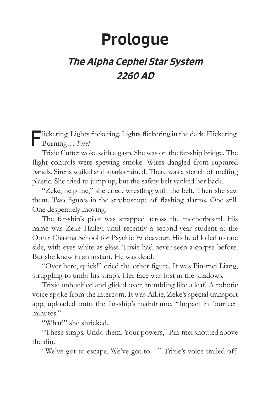## Prologue

## The Alpha Cephei Star System 2260 AD

Flickering. Lights flickering. Lights flickering in the dark. Flickering. Burning… *Fire!*

Trixie Cutter woke with a gasp. She was on the far-ship bridge. The flight controls were spewing smoke. Wires dangled from ruptured panels. Sirens wailed and sparks rained. There was a stench of melting plastic. She tried to jump up, but the safety belt yanked her back.

"Zeke, help me," she cried, wrestling with the belt. Then she saw them. Two figures in the stroboscope of flashing alarms. One still. One desperately moving.

The far-ship's pilot was strapped across the motherboard. His name was Zeke Hailey, until recently a second-year student at the Ophir Chasma School for Psychic Endeavour. His head lolled to one side, with eyes white as glass. Trixie had never seen a corpse before. But she knew in an instant. He was dead.

"Over here, quick!" cried the other figure. It was Pin-mei Liang, struggling to undo his straps. Her face was lost in the shadows.

Trixie unbuckled and glided over, trembling like a leaf. A robotic voice spoke from the intercom. It was Albie, Zeke's special transport app, uploaded onto the far-ship's mainframe. "Impact in fourteen minutes."

"What!" she shrieked.

"These straps. Undo them. Your powers," Pin-mei shouted above the din.

"We've got to escape. We've got to—" Trixie's voice trailed off.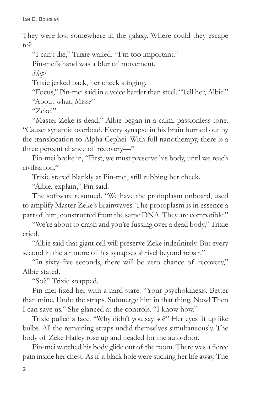They were lost somewhere in the galaxy. Where could they escape to?

"I can't die," Trixie wailed. "I'm too important."

Pin-mei's hand was a blur of movement.

*Slap!*

Trixie jerked back, her cheek stinging.

"Focus," Pin-mei said in a voice harder than steel. "Tell her, Albie."

"About what, Miss?"

"Zeke!"

"Master Zeke is dead," Albie began in a calm, passionless tone. "Cause: synaptic overload. Every synapse in his brain burned out by the translocation to Alpha Cephei. With full nanotherapy, there is a three percent chance of recovery—"

Pin-mei broke in, "First, we must preserve his body, until we reach civilisation."

Trixie stared blankly at Pin-mei, still rubbing her cheek.

"Albie, explain," Pin said.

The software resumed. "We have the protoplasm onboard, used to amplify Master Zeke's brainwaves. The protoplasm is in essence a part of him, constructed from the same DNA. They are compatible."

"We're about to crash and you're fussing over a dead body," Trixie cried.

"Albie said that giant cell will preserve Zeke indefinitely. But every second in the air more of his synapses shrivel beyond repair."

"In sixty-five seconds, there will be zero chance of recovery," Albie stated.

"So?" Trixie snapped.

Pin-mei fixed her with a hard stare. "Your psychokinesis. Better than mine. Undo the straps. Submerge him in that thing. Now! Then I can save us." She glanced at the controls. "I know how."

Trixie pulled a face. "Why didn't you say so?" Her eyes lit up like bulbs. All the remaining straps undid themselves simultaneously. The body of Zeke Hailey rose up and headed for the auto-door.

Pin-mei watched his body glide out of the room. There was a fierce pain inside her chest. As if a black hole were sucking her life away. The